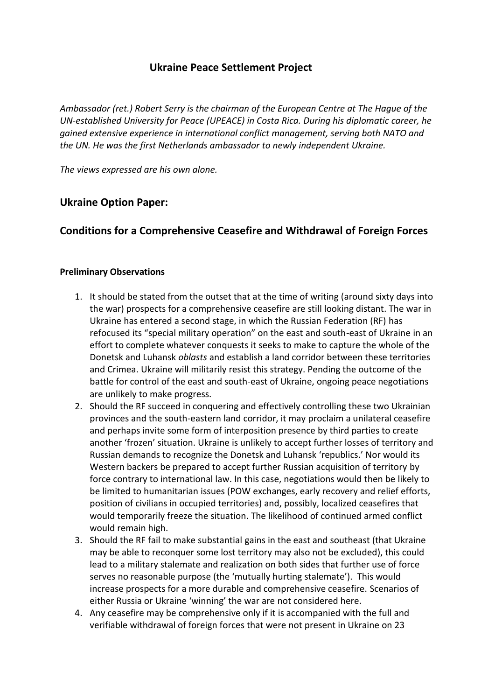# **Ukraine Peace Settlement Project**

*Ambassador (ret.) Robert Serry is the chairman of the European Centre at The Hague of the UN-established University for Peace (UPEACE) in Costa Rica. During his diplomatic career, he gained extensive experience in international conflict management, serving both NATO and the UN. He was the first Netherlands ambassador to newly independent Ukraine.*

*The views expressed are his own alone.*

# **Ukraine Option Paper:**

# **Conditions for a Comprehensive Ceasefire and Withdrawal of Foreign Forces**

#### **Preliminary Observations**

- 1. It should be stated from the outset that at the time of writing (around sixty days into the war) prospects for a comprehensive ceasefire are still looking distant. The war in Ukraine has entered a second stage, in which the Russian Federation (RF) has refocused its "special military operation" on the east and south-east of Ukraine in an effort to complete whatever conquests it seeks to make to capture the whole of the Donetsk and Luhansk *oblasts* and establish a land corridor between these territories and Crimea. Ukraine will militarily resist this strategy. Pending the outcome of the battle for control of the east and south-east of Ukraine, ongoing peace negotiations are unlikely to make progress.
- 2. Should the RF succeed in conquering and effectively controlling these two Ukrainian provinces and the south-eastern land corridor, it may proclaim a unilateral ceasefire and perhaps invite some form of interposition presence by third parties to create another 'frozen' situation. Ukraine is unlikely to accept further losses of territory and Russian demands to recognize the Donetsk and Luhansk 'republics.' Nor would its Western backers be prepared to accept further Russian acquisition of territory by force contrary to international law. In this case, negotiations would then be likely to be limited to humanitarian issues (POW exchanges, early recovery and relief efforts, position of civilians in occupied territories) and, possibly, localized ceasefires that would temporarily freeze the situation. The likelihood of continued armed conflict would remain high.
- 3. Should the RF fail to make substantial gains in the east and southeast (that Ukraine may be able to reconquer some lost territory may also not be excluded), this could lead to a military stalemate and realization on both sides that further use of force serves no reasonable purpose (the 'mutually hurting stalemate'). This would increase prospects for a more durable and comprehensive ceasefire. Scenarios of either Russia or Ukraine 'winning' the war are not considered here.
- 4. Any ceasefire may be comprehensive only if it is accompanied with the full and verifiable withdrawal of foreign forces that were not present in Ukraine on 23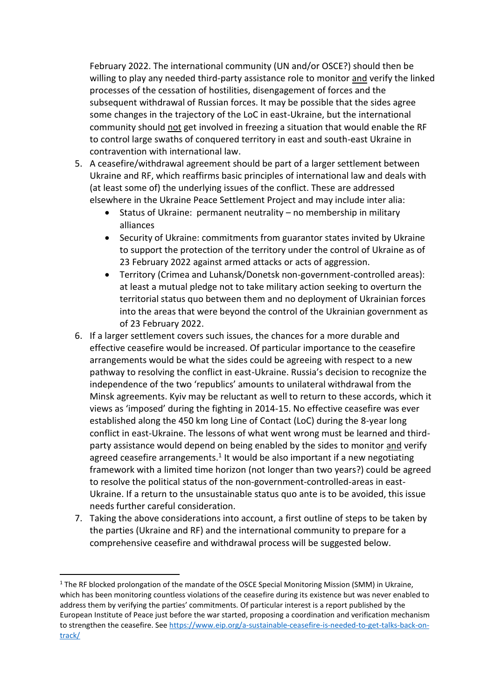February 2022. The international community (UN and/or OSCE?) should then be willing to play any needed third-party assistance role to monitor and verify the linked processes of the cessation of hostilities, disengagement of forces and the subsequent withdrawal of Russian forces. It may be possible that the sides agree some changes in the trajectory of the LoC in east-Ukraine, but the international community should not get involved in freezing a situation that would enable the RF to control large swaths of conquered territory in east and south-east Ukraine in contravention with international law.

- 5. A ceasefire/withdrawal agreement should be part of a larger settlement between Ukraine and RF, which reaffirms basic principles of international law and deals with (at least some of) the underlying issues of the conflict. These are addressed elsewhere in the Ukraine Peace Settlement Project and may include inter alia:
	- Status of Ukraine: permanent neutrality no membership in military alliances
	- Security of Ukraine: commitments from guarantor states invited by Ukraine to support the protection of the territory under the control of Ukraine as of 23 February 2022 against armed attacks or acts of aggression.
	- Territory (Crimea and Luhansk/Donetsk non-government-controlled areas): at least a mutual pledge not to take military action seeking to overturn the territorial status quo between them and no deployment of Ukrainian forces into the areas that were beyond the control of the Ukrainian government as of 23 February 2022.
- 6. If a larger settlement covers such issues, the chances for a more durable and effective ceasefire would be increased. Of particular importance to the ceasefire arrangements would be what the sides could be agreeing with respect to a new pathway to resolving the conflict in east-Ukraine. Russia's decision to recognize the independence of the two 'republics' amounts to unilateral withdrawal from the Minsk agreements. Kyiv may be reluctant as well to return to these accords, which it views as 'imposed' during the fighting in 2014-15. No effective ceasefire was ever established along the 450 km long Line of Contact (LoC) during the 8-year long conflict in east-Ukraine. The lessons of what went wrong must be learned and thirdparty assistance would depend on being enabled by the sides to monitor and verify agreed ceasefire arrangements. $1$  It would be also important if a new negotiating framework with a limited time horizon (not longer than two years?) could be agreed to resolve the political status of the non-government-controlled-areas in east-Ukraine. If a return to the unsustainable status quo ante is to be avoided, this issue needs further careful consideration.
- 7. Taking the above considerations into account, a first outline of steps to be taken by the parties (Ukraine and RF) and the international community to prepare for a comprehensive ceasefire and withdrawal process will be suggested below.

-

 $1$  The RF blocked prolongation of the mandate of the OSCE Special Monitoring Mission (SMM) in Ukraine, which has been monitoring countless violations of the ceasefire during its existence but was never enabled to address them by verifying the parties' commitments. Of particular interest is a report published by the European Institute of Peace just before the war started, proposing a coordination and verification mechanism to strengthen the ceasefire. See [https://www.eip.org/a-sustainable-ceasefire-is-needed-to-get-talks-back-on](https://www.eip.org/a-sustainable-ceasefire-is-needed-to-get-talks-back-on-track/)[track/](https://www.eip.org/a-sustainable-ceasefire-is-needed-to-get-talks-back-on-track/)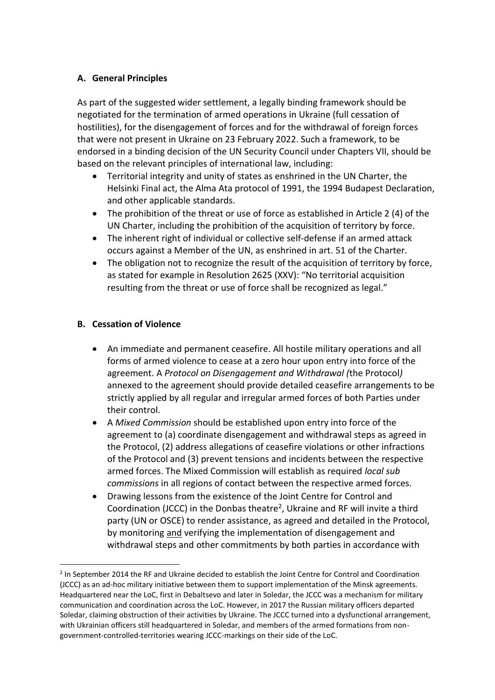### **A. General Principles**

As part of the suggested wider settlement, a legally binding framework should be negotiated for the termination of armed operations in Ukraine (full cessation of hostilities), for the disengagement of forces and for the withdrawal of foreign forces that were not present in Ukraine on 23 February 2022. Such a framework, to be endorsed in a binding decision of the UN Security Council under Chapters VII, should be based on the relevant principles of international law, including:

- Territorial integrity and unity of states as enshrined in the UN Charter, the Helsinki Final act, the Alma Ata protocol of 1991, the 1994 Budapest Declaration, and other applicable standards.
- The prohibition of the threat or use of force as established in Article 2 (4) of the UN Charter, including the prohibition of the acquisition of territory by force.
- The inherent right of individual or collective self-defense if an armed attack occurs against a Member of the UN, as enshrined in art. 51 of the Charter.
- The obligation not to recognize the result of the acquisition of territory by force, as stated for example in Resolution 2625 (XXV): "No territorial acquisition resulting from the threat or use of force shall be recognized as legal."

### **B. Cessation of Violence**

-

- An immediate and permanent ceasefire. All hostile military operations and all forms of armed violence to cease at a zero hour upon entry into force of the agreement. A *Protocol on Disengagement and Withdrawal (*the Protocol*)*  annexed to the agreement should provide detailed ceasefire arrangements to be strictly applied by all regular and irregular armed forces of both Parties under their control.
- A *Mixed Commission* should be established upon entry into force of the agreement to (a) coordinate disengagement and withdrawal steps as agreed in the Protocol, (2) address allegations of ceasefire violations or other infractions of the Protocol and (3) prevent tensions and incidents between the respective armed forces. The Mixed Commission will establish as required *local sub commissions* in all regions of contact between the respective armed forces.
- Drawing lessons from the existence of the Joint Centre for Control and Coordination (JCCC) in the Donbas theatre<sup>2</sup>, Ukraine and RF will invite a third party (UN or OSCE) to render assistance, as agreed and detailed in the Protocol, by monitoring and verifying the implementation of disengagement and withdrawal steps and other commitments by both parties in accordance with

<sup>&</sup>lt;sup>2</sup> In September 2014 the RF and Ukraine decided to establish the Joint Centre for Control and Coordination (JCCC) as an ad-hoc military initiative between them to support implementation of the Minsk agreements. Headquartered near the LoC, first in Debaltsevo and later in Soledar, the JCCC was a mechanism for military communication and coordination across the LoC. However, in 2017 the Russian military officers departed Soledar, claiming obstruction of their activities by Ukraine. The JCCC turned into a dysfunctional arrangement, with Ukrainian officers still headquartered in Soledar, and members of the armed formations from nongovernment-controlled-territories wearing JCCC-markings on their side of the LoC.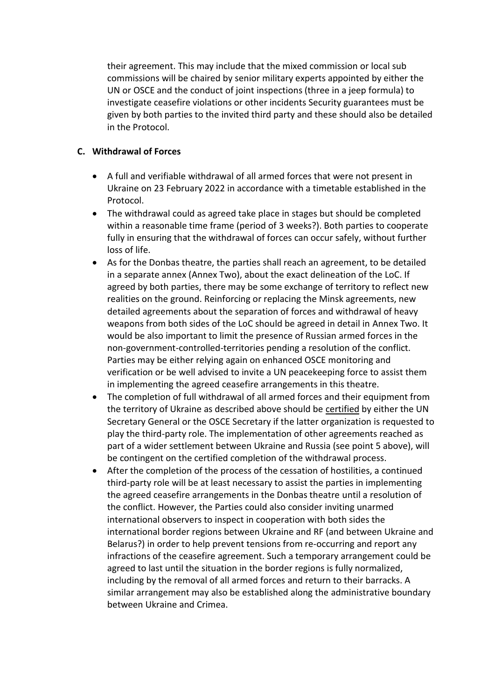their agreement. This may include that the mixed commission or local sub commissions will be chaired by senior military experts appointed by either the UN or OSCE and the conduct of joint inspections (three in a jeep formula) to investigate ceasefire violations or other incidents Security guarantees must be given by both parties to the invited third party and these should also be detailed in the Protocol.

#### **C. Withdrawal of Forces**

- A full and verifiable withdrawal of all armed forces that were not present in Ukraine on 23 February 2022 in accordance with a timetable established in the Protocol.
- The withdrawal could as agreed take place in stages but should be completed within a reasonable time frame (period of 3 weeks?). Both parties to cooperate fully in ensuring that the withdrawal of forces can occur safely, without further loss of life.
- As for the Donbas theatre, the parties shall reach an agreement, to be detailed in a separate annex (Annex Two), about the exact delineation of the LoC. If agreed by both parties, there may be some exchange of territory to reflect new realities on the ground. Reinforcing or replacing the Minsk agreements, new detailed agreements about the separation of forces and withdrawal of heavy weapons from both sides of the LoC should be agreed in detail in Annex Two. It would be also important to limit the presence of Russian armed forces in the non-government-controlled-territories pending a resolution of the conflict. Parties may be either relying again on enhanced OSCE monitoring and verification or be well advised to invite a UN peacekeeping force to assist them in implementing the agreed ceasefire arrangements in this theatre.
- The completion of full withdrawal of all armed forces and their equipment from the territory of Ukraine as described above should be certified by either the UN Secretary General or the OSCE Secretary if the latter organization is requested to play the third-party role. The implementation of other agreements reached as part of a wider settlement between Ukraine and Russia (see point 5 above), will be contingent on the certified completion of the withdrawal process.
- After the completion of the process of the cessation of hostilities, a continued third-party role will be at least necessary to assist the parties in implementing the agreed ceasefire arrangements in the Donbas theatre until a resolution of the conflict. However, the Parties could also consider inviting unarmed international observers to inspect in cooperation with both sides the international border regions between Ukraine and RF (and between Ukraine and Belarus?) in order to help prevent tensions from re-occurring and report any infractions of the ceasefire agreement. Such a temporary arrangement could be agreed to last until the situation in the border regions is fully normalized, including by the removal of all armed forces and return to their barracks. A similar arrangement may also be established along the administrative boundary between Ukraine and Crimea.